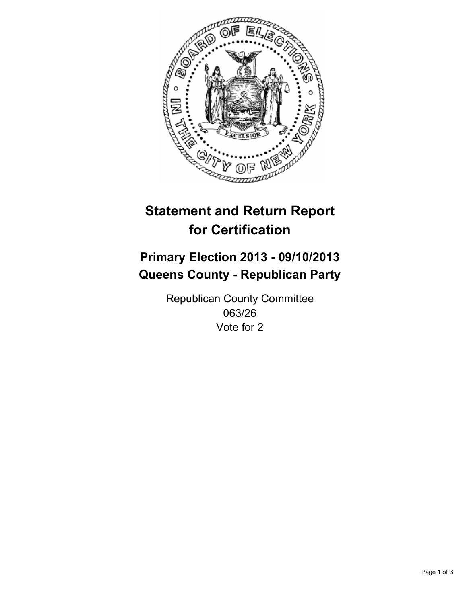

# **Statement and Return Report for Certification**

# **Primary Election 2013 - 09/10/2013 Queens County - Republican Party**

Republican County Committee 063/26 Vote for 2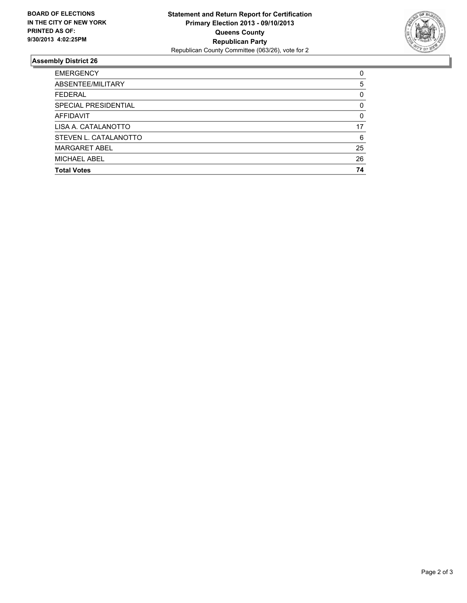

## **Assembly District 26**

| <b>EMERGENCY</b>      | 0        |
|-----------------------|----------|
| ABSENTEE/MILITARY     | 5        |
| <b>FEDERAL</b>        | $\Omega$ |
| SPECIAL PRESIDENTIAL  | 0        |
| <b>AFFIDAVIT</b>      | $\Omega$ |
| LISA A. CATALANOTTO   | 17       |
| STEVEN L. CATALANOTTO | 6        |
| <b>MARGARET ABEL</b>  | 25       |
| MICHAEL ABEL          | 26       |
| <b>Total Votes</b>    | 74       |